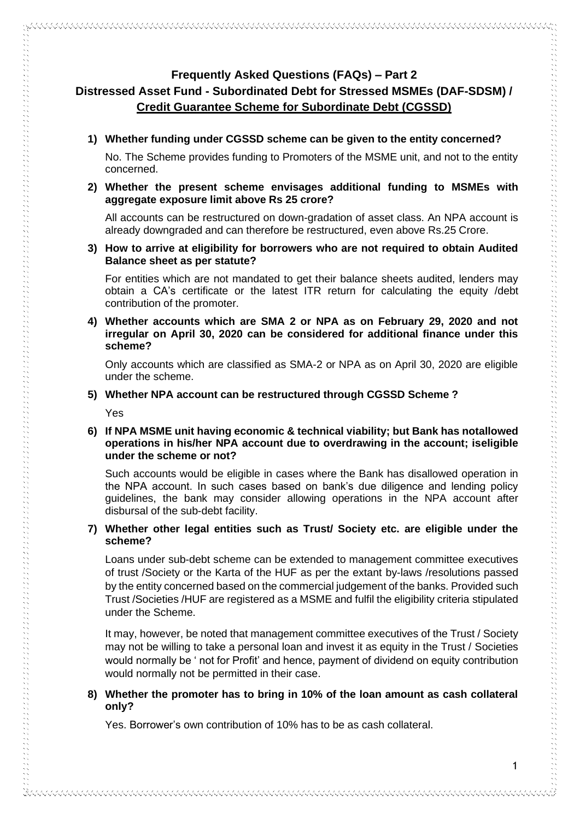# **Frequently Asked Questions (FAQs) – Part 2 Distressed Asset Fund - Subordinated Debt for Stressed MSMEs (DAF-SDSM) / Credit Guarantee Scheme for Subordinate Debt (CGSSD)**

**1) Whether funding under CGSSD scheme can be given to the entity concerned?**

No. The Scheme provides funding to Promoters of the MSME unit, and not to the entity concerned.

**2) Whether the present scheme envisages additional funding to MSMEs with aggregate exposure limit above Rs 25 crore?**

All accounts can be restructured on down-gradation of asset class. An NPA account is already downgraded and can therefore be restructured, even above Rs.25 Crore.

**3) How to arrive at eligibility for borrowers who are not required to obtain Audited Balance sheet as per statute?**

For entities which are not mandated to get their balance sheets audited, lenders may obtain a CA's certificate or the latest ITR return for calculating the equity /debt contribution of the promoter.

**4) Whether accounts which are SMA 2 or NPA as on February 29, 2020 and not irregular on April 30, 2020 can be considered for additional finance under this scheme?**

Only accounts which are classified as SMA-2 or NPA as on April 30, 2020 are eligible under the scheme.

## **5) Whether NPA account can be restructured through CGSSD Scheme ?**

Yes

# **6) If NPA MSME unit having economic & technical viability; but Bank has notallowed operations in his/her NPA account due to overdrawing in the account; iseligible under the scheme or not?**

Such accounts would be eligible in cases where the Bank has disallowed operation in the NPA account. In such cases based on bank's due diligence and lending policy guidelines, the bank may consider allowing operations in the NPA account after disbursal of the sub-debt facility.

## **7) Whether other legal entities such as Trust/ Society etc. are eligible under the scheme?**

Loans under sub-debt scheme can be extended to management committee executives of trust /Society or the Karta of the HUF as per the extant by-laws /resolutions passed by the entity concerned based on the commercial judgement of the banks. Provided such Trust /Societies /HUF are registered as a MSME and fulfil the eligibility criteria stipulated under the Scheme.

It may, however, be noted that management committee executives of the Trust / Society may not be willing to take a personal loan and invest it as equity in the Trust / Societies would normally be ' not for Profit' and hence, payment of dividend on equity contribution would normally not be permitted in their case.

# **8) Whether the promoter has to bring in 10% of the loan amount as cash collateral only?**

Yes. Borrower's own contribution of 10% has to be as cash collateral.

しょうしょう アクセス しょうこう アクセス しょうしょう アクセス きょうしょう アクセス きょうしょう アクセス しょうしょう アクセス しょうしょう アクセス しょうしょう アクセス しょうしょう アクセス しょうしょう アクセス アクセス アクセス アクセス アクセス アクセス アクセス しょうしょう アクセス しょうしょう アクセス しょうしょう アクセス しょうしょう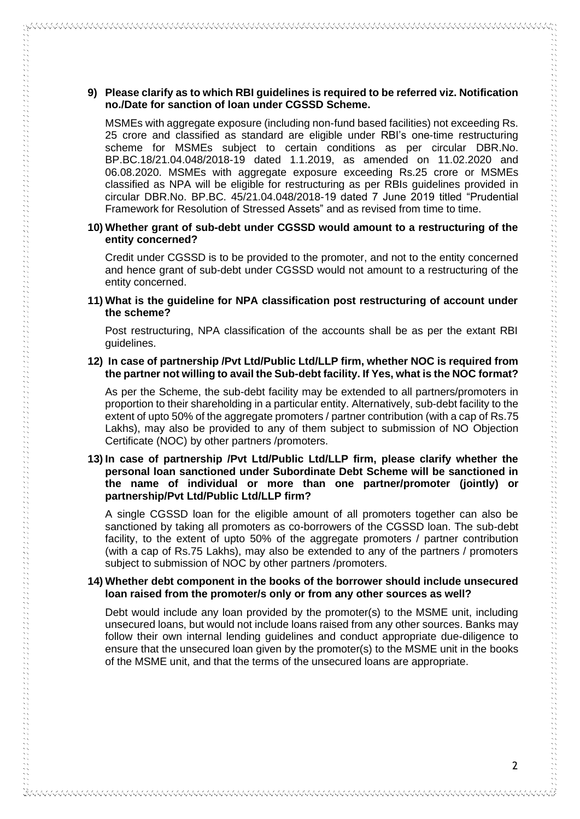## **9) Please clarify as to which RBI guidelines is required to be referred viz. Notification no./Date for sanction of loan under CGSSD Scheme.**

WAANAANA WAANA WAXAYA WAXAYA WAXAYA WAXAYA WAXAYA WAXAYA WAXAYA WAXAYA WA

MSMEs with aggregate exposure (including non-fund based facilities) not exceeding Rs. 25 crore and classified as standard are eligible under RBI's one-time restructuring scheme for MSMEs subject to certain conditions as per circular DBR.No. BP.BC.18/21.04.048/2018-19 dated 1.1.2019, as amended on 11.02.2020 and 06.08.2020. MSMEs with aggregate exposure exceeding Rs.25 crore or MSMEs classified as NPA will be eligible for restructuring as per RBIs guidelines provided in circular DBR.No. BP.BC. 45/21.04.048/2018-19 dated 7 June 2019 titled "Prudential Framework for Resolution of Stressed Assets" and as revised from time to time.

## **10) Whether grant of sub-debt under CGSSD would amount to a restructuring of the entity concerned?**

Credit under CGSSD is to be provided to the promoter, and not to the entity concerned and hence grant of sub-debt under CGSSD would not amount to a restructuring of the entity concerned.

**11) What is the guideline for NPA classification post restructuring of account under the scheme?**

Post restructuring, NPA classification of the accounts shall be as per the extant RBI guidelines.

#### **12) In case of partnership /Pvt Ltd/Public Ltd/LLP firm, whether NOC is required from the partner not willing to avail the Sub-debt facility. If Yes, what is the NOC format?**

As per the Scheme, the sub-debt facility may be extended to all partners/promoters in proportion to their shareholding in a particular entity. Alternatively, sub-debt facility to the extent of upto 50% of the aggregate promoters / partner contribution (with a cap of Rs.75 Lakhs), may also be provided to any of them subject to submission of NO Objection Certificate (NOC) by other partners /promoters.

## **13) In case of partnership /Pvt Ltd/Public Ltd/LLP firm, please clarify whether the personal loan sanctioned under Subordinate Debt Scheme will be sanctioned in the name of individual or more than one partner/promoter (jointly) or partnership/Pvt Ltd/Public Ltd/LLP firm?**

A single CGSSD loan for the eligible amount of all promoters together can also be sanctioned by taking all promoters as co-borrowers of the CGSSD loan. The sub-debt facility, to the extent of upto 50% of the aggregate promoters / partner contribution (with a cap of Rs.75 Lakhs), may also be extended to any of the partners / promoters subject to submission of NOC by other partners /promoters.

#### **14) Whether debt component in the books of the borrower should include unsecured loan raised from the promoter/s only or from any other sources as well?**

Debt would include any loan provided by the promoter(s) to the MSME unit, including unsecured loans, but would not include loans raised from any other sources. Banks may follow their own internal lending guidelines and conduct appropriate due-diligence to ensure that the unsecured loan given by the promoter(s) to the MSME unit in the books of the MSME unit, and that the terms of the unsecured loans are appropriate.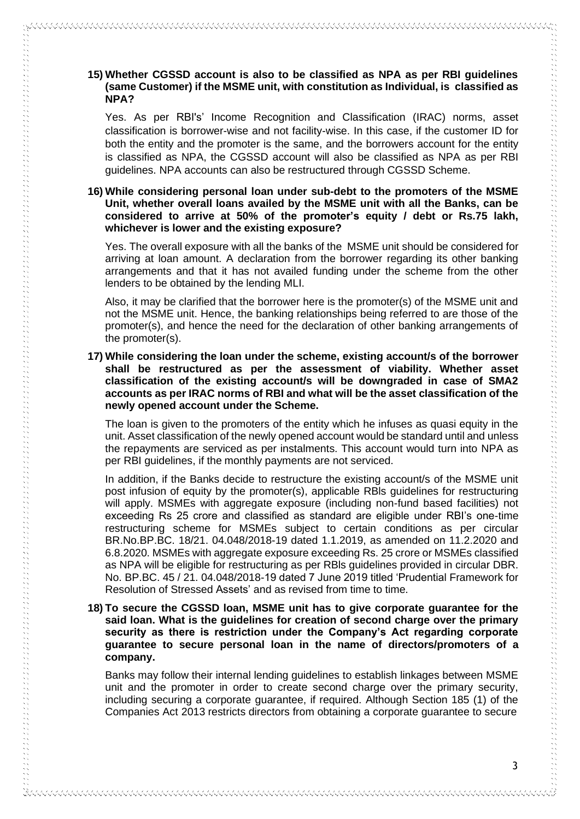# **15) Whether CGSSD account is also to be classified as NPA as per RBI guidelines (same Customer) if the MSME unit, with constitution as Individual, is classified as NPA?**

Yes. As per RBI's' Income Recognition and Classification (IRAC) norms, asset classification is borrower-wise and not facility-wise. In this case, if the customer ID for both the entity and the promoter is the same, and the borrowers account for the entity is classified as NPA, the CGSSD account will also be classified as NPA as per RBI guidelines. NPA accounts can also be restructured through CGSSD Scheme.

## **16) While considering personal loan under sub-debt to the promoters of the MSME Unit, whether overall loans availed by the MSME unit with all the Banks, can be considered to arrive at 50% of the promoter's equity / debt or Rs.75 lakh, whichever is lower and the existing exposure?**

Yes. The overall exposure with all the banks of the MSME unit should be considered for arriving at loan amount. A declaration from the borrower regarding its other banking arrangements and that it has not availed funding under the scheme from the other lenders to be obtained by the lending MLI.

Also, it may be clarified that the borrower here is the promoter(s) of the MSME unit and not the MSME unit. Hence, the banking relationships being referred to are those of the promoter(s), and hence the need for the declaration of other banking arrangements of the promoter(s).

#### **17) While considering the loan under the scheme, existing account/s of the borrower shall be restructured as per the assessment of viability. Whether asset classification of the existing account/s will be downgraded in case of SMA2 accounts as per IRAC norms of RBI and what will be the asset classification of the newly opened account under the Scheme.**

The loan is given to the promoters of the entity which he infuses as quasi equity in the unit. Asset classification of the newly opened account would be standard until and unless the repayments are serviced as per instalments. This account would turn into NPA as per RBI guidelines, if the monthly payments are not serviced.

In addition, if the Banks decide to restructure the existing account/s of the MSME unit post infusion of equity by the promoter(s), applicable RBls guidelines for restructuring will apply. MSMEs with aggregate exposure (including non-fund based facilities) not exceeding Rs 25 crore and classified as standard are eligible under RBI's one-time restructuring scheme for MSMEs subject to certain conditions as per circular BR.No.BP.BC. 18/21. 04.048/2018-19 dated 1.1.2019, as amended on 11.2.2020 and 6.8.2020. MSMEs with aggregate exposure exceeding Rs. 25 crore or MSMEs classified as NPA will be eligible for restructuring as per RBls guidelines provided in circular DBR. No. BP.BC. 45 / 21. 04.048/2018-19 dated 7 June 2019 titled 'Prudential Framework for Resolution of Stressed Assets' and as revised from time to time.

## **18) To secure the CGSSD loan, MSME unit has to give corporate guarantee for the said loan. What is the guidelines for creation of second charge over the primary security as there is restriction under the Company's Act regarding corporate guarantee to secure personal loan in the name of directors/promoters of a company.**

Banks may follow their internal lending guidelines to establish linkages between MSME unit and the promoter in order to create second charge over the primary security, including securing a corporate guarantee, if required. Although Section 185 (1) of the Companies Act 2013 restricts directors from obtaining a corporate guarantee to secure